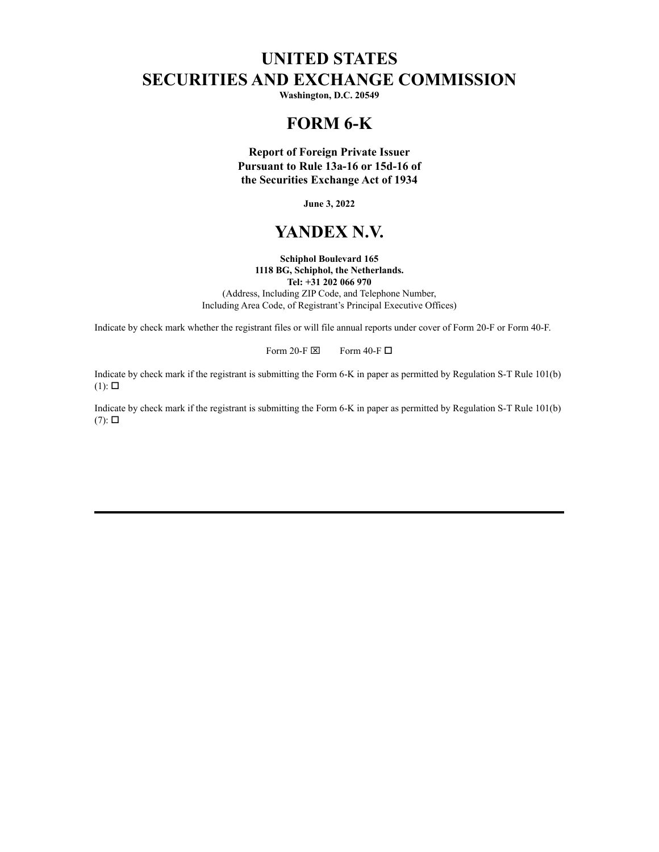## **UNITED STATES SECURITIES AND EXCHANGE COMMISSION**

**Washington, D.C. 20549**

## **FORM 6-K**

**Report of Foreign Private Issuer Pursuant to Rule 13a-16 or 15d-16 of the Securities Exchange Act of 1934**

**June 3, 2022**

### **YANDEX N.V.**

**Schiphol Boulevard 165 1118 BG, Schiphol, the Netherlands. Tel: +31 202 066 970** (Address, Including ZIP Code, and Telephone Number, Including Area Code, of Registrant's Principal Executive Offices)

Indicate by check mark whether the registrant files or will file annual reports under cover of Form 20-F or Form 40-F.

Form 20-F  $\boxtimes$  Form 40-F  $\Box$ 

Indicate by check mark if the registrant is submitting the Form 6-K in paper as permitted by Regulation S-T Rule 101(b)  $(1)$ :  $\square$ 

Indicate by check mark if the registrant is submitting the Form 6-K in paper as permitted by Regulation S-T Rule 101(b)  $(7)$ :  $\square$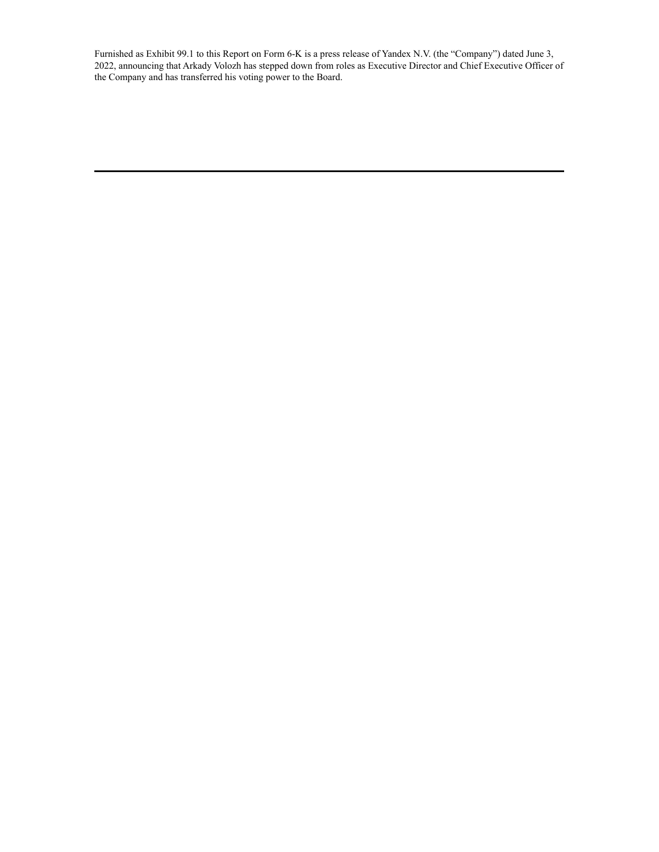Furnished as Exhibit 99.1 to this Report on Form 6-K is a press release of Yandex N.V. (the "Company") dated June 3, 2022, announcing that Arkady Volozh has stepped down from roles as Executive Director and Chief Executive Officer of the Company and has transferred his voting power to the Board.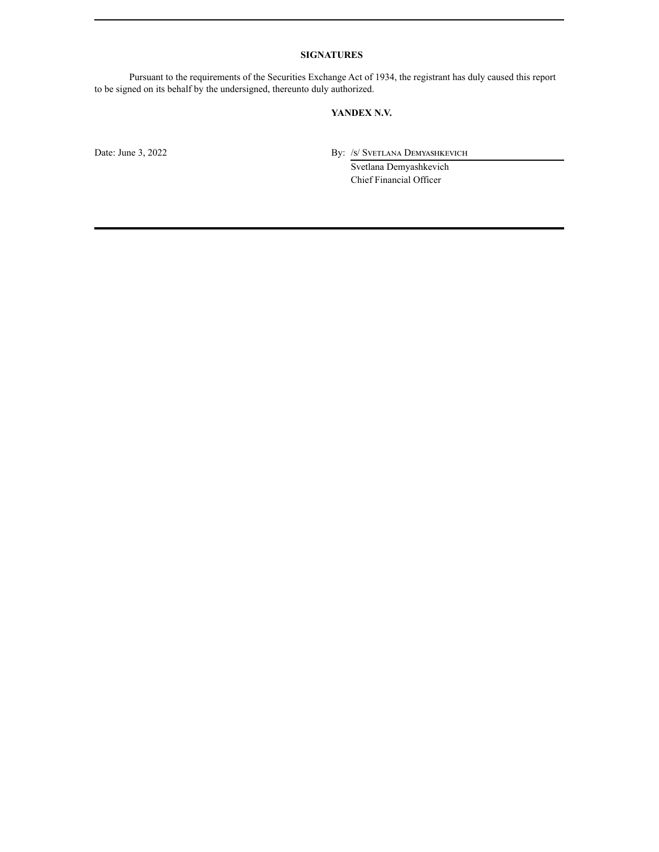#### **SIGNATURES**

Pursuant to the requirements of the Securities Exchange Act of 1934, the registrant has duly caused this report to be signed on its behalf by the undersigned, thereunto duly authorized.

#### **YANDEX N.V.**

Date: June 3, 2022 By: /s/ Svetlana Demyashkevich

Svetlana Demyashkevich Chief Financial Officer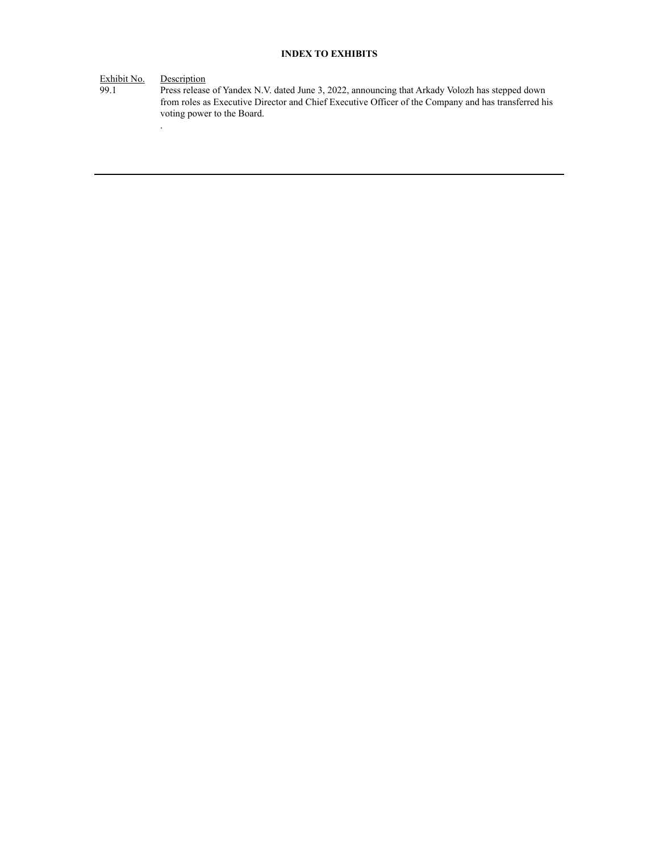#### **INDEX TO EXHIBITS**

Exhibit No. Description

.

99.1 Press release of Yandex N.V. dated June 3, 2022, announcing that Arkady Volozh has stepped down from roles as Executive Director and Chief Executive Officer of the Company and has transferred his voting power to the Board.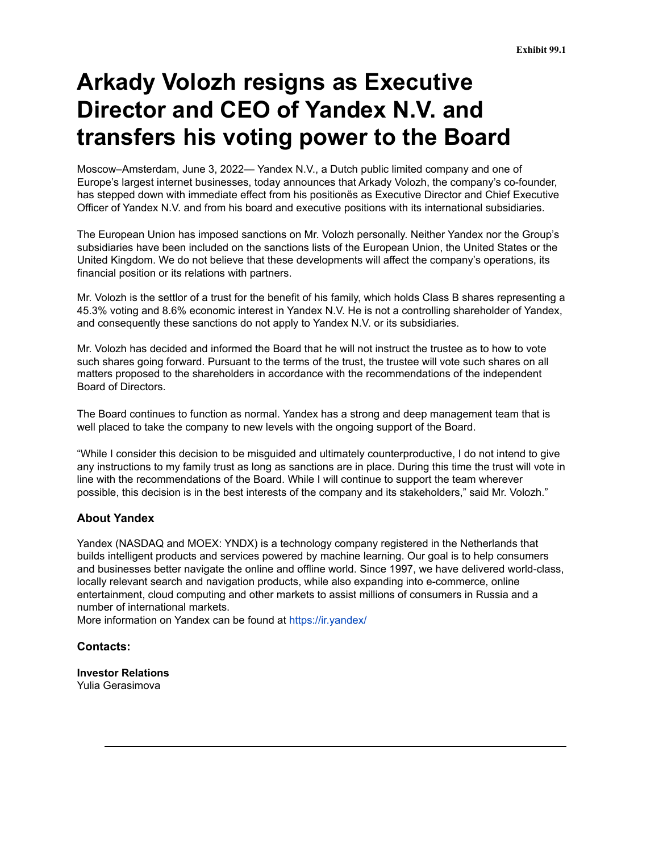# **Arkady Volozh resigns as Executive Director and CEO of Yandex N.V. and transfers his voting power to the Board**

Moscow–Amsterdam, June 3, 2022— Yandex N.V., a Dutch public limited company and one of Europe's largest internet businesses, today announces that Arkady Volozh, the company's co-founder, has stepped down with immediate effect from his positionёs as Executive Director and Chief Executive Officer of Yandex N.V. and from his board and executive positions with its international subsidiaries.

The European Union has imposed sanctions on Mr. Volozh personally. Neither Yandex nor the Group's subsidiaries have been included on the sanctions lists of the European Union, the United States or the United Kingdom. We do not believe that these developments will affect the company's operations, its financial position or its relations with partners.

Mr. Volozh is the settlor of a trust for the benefit of his family, which holds Class B shares representing a 45.3% voting and 8.6% economic interest in Yandex N.V. He is not a controlling shareholder of Yandex, and consequently these sanctions do not apply to Yandex N.V. or its subsidiaries.

Mr. Volozh has decided and informed the Board that he will not instruct the trustee as to how to vote such shares going forward. Pursuant to the terms of the trust, the trustee will vote such shares on all matters proposed to the shareholders in accordance with the recommendations of the independent Board of Directors.

The Board continues to function as normal. Yandex has a strong and deep management team that is well placed to take the company to new levels with the ongoing support of the Board.

"While I consider this decision to be misguided and ultimately counterproductive, I do not intend to give any instructions to my family trust as long as sanctions are in place. During this time the trust will vote in line with the recommendations of the Board. While I will continue to support the team wherever possible, this decision is in the best interests of the company and its stakeholders," said Mr. Volozh."

#### **About Yandex**

Yandex (NASDAQ and MOEX: YNDX) is a technology company registered in the Netherlands that builds intelligent products and services powered by machine learning. Our goal is to help consumers and businesses better navigate the online and offline world. Since 1997, we have delivered world-class, locally relevant search and navigation products, while also expanding into e-commerce, online entertainment, cloud computing and other markets to assist millions of consumers in Russia and a number of international markets.

More information on Yandex can be found at https://ir.yandex/

#### **Contacts:**

**Investor Relations** Yulia Gerasimova